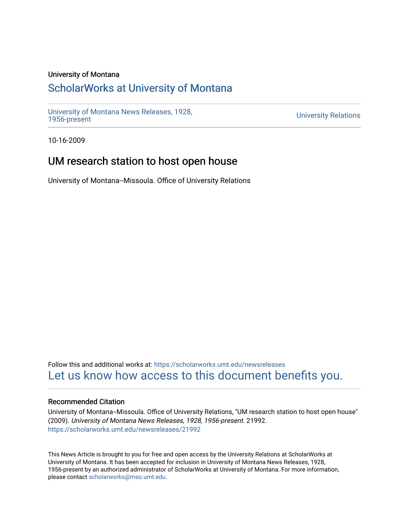### University of Montana

## [ScholarWorks at University of Montana](https://scholarworks.umt.edu/)

[University of Montana News Releases, 1928,](https://scholarworks.umt.edu/newsreleases) 

**University Relations** 

10-16-2009

# UM research station to host open house

University of Montana--Missoula. Office of University Relations

Follow this and additional works at: [https://scholarworks.umt.edu/newsreleases](https://scholarworks.umt.edu/newsreleases?utm_source=scholarworks.umt.edu%2Fnewsreleases%2F21992&utm_medium=PDF&utm_campaign=PDFCoverPages) [Let us know how access to this document benefits you.](https://goo.gl/forms/s2rGfXOLzz71qgsB2) 

#### Recommended Citation

University of Montana--Missoula. Office of University Relations, "UM research station to host open house" (2009). University of Montana News Releases, 1928, 1956-present. 21992. [https://scholarworks.umt.edu/newsreleases/21992](https://scholarworks.umt.edu/newsreleases/21992?utm_source=scholarworks.umt.edu%2Fnewsreleases%2F21992&utm_medium=PDF&utm_campaign=PDFCoverPages) 

This News Article is brought to you for free and open access by the University Relations at ScholarWorks at University of Montana. It has been accepted for inclusion in University of Montana News Releases, 1928, 1956-present by an authorized administrator of ScholarWorks at University of Montana. For more information, please contact [scholarworks@mso.umt.edu.](mailto:scholarworks@mso.umt.edu)